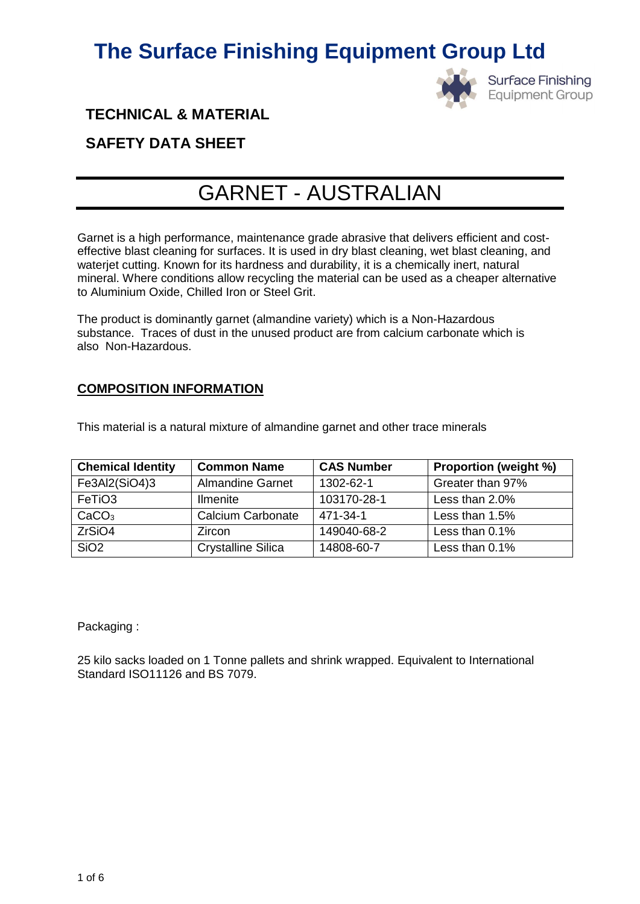

**Surface Finishing Equipment Group** 

### **TECHNICAL & MATERIAL**

### **SAFETY DATA SHEET**

### GARNET - AUSTRALIAN

Garnet is a high performance, maintenance grade abrasive that delivers efficient and costeffective blast cleaning for surfaces. It is used in dry blast cleaning, wet blast cleaning, and waterjet cutting. Known for its hardness and durability, it is a chemically inert, natural mineral. Where conditions allow recycling the material can be used as a cheaper alternative to Aluminium Oxide, Chilled Iron or Steel Grit.

The product is dominantly garnet (almandine variety) which is a Non-Hazardous substance. Traces of dust in the unused product are from calcium carbonate which is also Non-Hazardous.

#### **COMPOSITION INFORMATION**

This material is a natural mixture of almandine garnet and other trace minerals

| <b>Chemical Identity</b> | <b>Common Name</b>        | <b>CAS Number</b> | <b>Proportion (weight %)</b> |
|--------------------------|---------------------------|-------------------|------------------------------|
| Fe3Al2(SiO4)3            | <b>Almandine Garnet</b>   | 1302-62-1         | Greater than 97%             |
| FeTiO <sub>3</sub>       | <b>Ilmenite</b>           | 103170-28-1       | Less than 2.0%               |
| CaCO <sub>3</sub>        | Calcium Carbonate         | 471-34-1          | Less than 1.5%               |
| ZrSiO4                   | Zircon                    | 149040-68-2       | Less than 0.1%               |
| SiO <sub>2</sub>         | <b>Crystalline Silica</b> | 14808-60-7        | Less than 0.1%               |

Packaging :

25 kilo sacks loaded on 1 Tonne pallets and shrink wrapped. Equivalent to International Standard ISO11126 and BS 7079.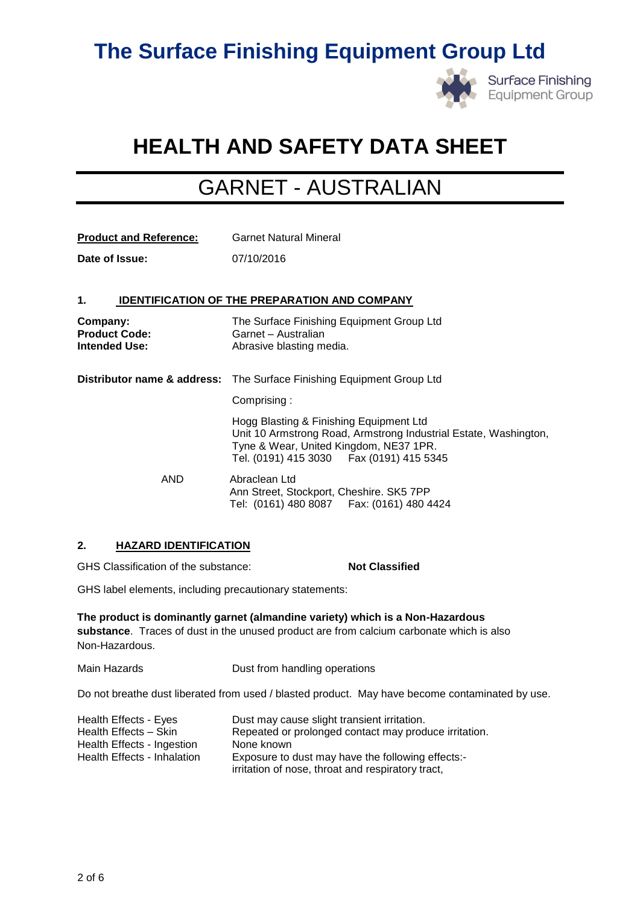

**Surface Finishing Equipment Group** 

## **HEALTH AND SAFETY DATA SHEET**

### GARNET - AUSTRALIAN

| <b>Product and Reference:</b>                            | <b>Garnet Natural Mineral</b>                                                                                                                                                                       |
|----------------------------------------------------------|-----------------------------------------------------------------------------------------------------------------------------------------------------------------------------------------------------|
| Date of Issue:                                           | 07/10/2016                                                                                                                                                                                          |
|                                                          |                                                                                                                                                                                                     |
| 1.                                                       | <b>IDENTIFICATION OF THE PREPARATION AND COMPANY</b>                                                                                                                                                |
| Company:<br><b>Product Code:</b><br><b>Intended Use:</b> | The Surface Finishing Equipment Group Ltd<br>Garnet - Australian<br>Abrasive blasting media.                                                                                                        |
|                                                          | <b>Distributor name &amp; address:</b> The Surface Finishing Equipment Group Ltd                                                                                                                    |
|                                                          | Comprising:                                                                                                                                                                                         |
|                                                          | Hogg Blasting & Finishing Equipment Ltd<br>Unit 10 Armstrong Road, Armstrong Industrial Estate, Washington,<br>Tyne & Wear, United Kingdom, NE37 1PR.<br>Tel. (0191) 415 3030   Fax (0191) 415 5345 |
| <b>AND</b>                                               | Abraclean Ltd<br>Ann Street, Stockport, Cheshire. SK5 7PP<br>Tel: (0161) 480 8087   Fax: (0161) 480 4424                                                                                            |

#### **2. HAZARD IDENTIFICATION**

GHS Classification of the substance: **Not Classified** 

GHS label elements, including precautionary statements:

**The product is dominantly garnet (almandine variety) which is a Non-Hazardous substance**. Traces of dust in the unused product are from calcium carbonate which is also Non-Hazardous.

Main Hazards **Dust from handling operations** 

Do not breathe dust liberated from used / blasted product. May have become contaminated by use.

| Health Effects - Eyes       | Dust may cause slight transient irritation.           |
|-----------------------------|-------------------------------------------------------|
| Health Effects - Skin       | Repeated or prolonged contact may produce irritation. |
| Health Effects - Ingestion  | None known                                            |
| Health Effects - Inhalation | Exposure to dust may have the following effects:-     |
|                             | irritation of nose, throat and respiratory tract,     |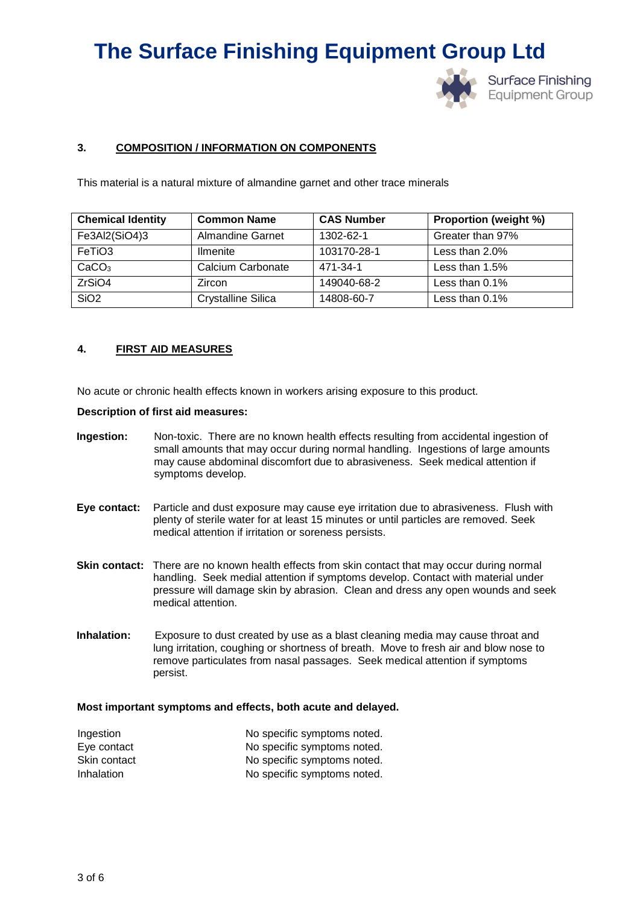

**Surface Finishing Equipment Group** 

#### **3. COMPOSITION / INFORMATION ON COMPONENTS**

This material is a natural mixture of almandine garnet and other trace minerals

| <b>Chemical Identity</b> | <b>Common Name</b>        | <b>CAS Number</b> | <b>Proportion (weight %)</b> |
|--------------------------|---------------------------|-------------------|------------------------------|
| Fe3Al2(SiO4)3            | <b>Almandine Garnet</b>   | 1302-62-1         | Greater than 97%             |
| FeTiO3                   | <b>Ilmenite</b>           | 103170-28-1       | Less than $2.0\%$            |
| CaCO <sub>3</sub>        | Calcium Carbonate         | 471-34-1          | Less than $1.5%$             |
| ZrSiO4                   | Zircon                    | 149040-68-2       | Less than 0.1%               |
| SiO <sub>2</sub>         | <b>Crystalline Silica</b> | 14808-60-7        | Less than $0.1\%$            |

#### **4. FIRST AID MEASURES**

No acute or chronic health effects known in workers arising exposure to this product.

#### **Description of first aid measures:**

- **Ingestion:** Non-toxic. There are no known health effects resulting from accidental ingestion of small amounts that may occur during normal handling. Ingestions of large amounts may cause abdominal discomfort due to abrasiveness. Seek medical attention if symptoms develop.
- **Eye contact:** Particle and dust exposure may cause eye irritation due to abrasiveness. Flush with plenty of sterile water for at least 15 minutes or until particles are removed. Seek medical attention if irritation or soreness persists.
- **Skin contact:** There are no known health effects from skin contact that may occur during normal handling. Seek medial attention if symptoms develop. Contact with material under pressure will damage skin by abrasion. Clean and dress any open wounds and seek medical attention.
- **Inhalation:** Exposure to dust created by use as a blast cleaning media may cause throat and lung irritation, coughing or shortness of breath. Move to fresh air and blow nose to remove particulates from nasal passages. Seek medical attention if symptoms persist.

#### **Most important symptoms and effects, both acute and delayed.**

| Ingestion    | No specific symptoms noted. |
|--------------|-----------------------------|
| Eye contact  | No specific symptoms noted. |
| Skin contact | No specific symptoms noted. |
| Inhalation   | No specific symptoms noted. |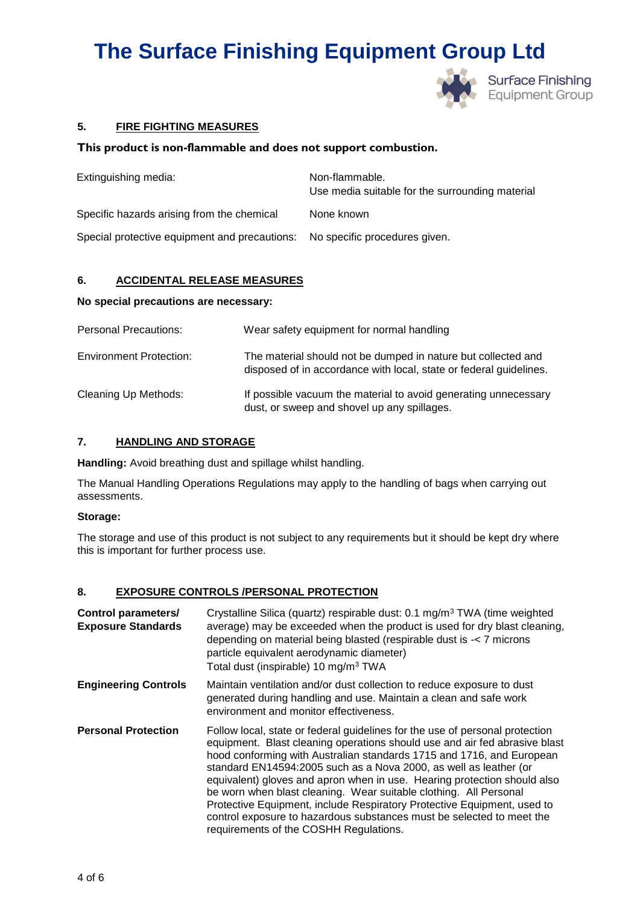

#### **5. FIRE FIGHTING MEASURES**

#### **This product is non-flammable and does not support combustion.**

| Extinguishing media:                                                        | Non-flammable.<br>Use media suitable for the surrounding material |
|-----------------------------------------------------------------------------|-------------------------------------------------------------------|
| Specific hazards arising from the chemical                                  | None known                                                        |
| Special protective equipment and precautions: No specific procedures given. |                                                                   |

#### **6. ACCIDENTAL RELEASE MEASURES**

#### **No special precautions are necessary:**

| <b>Personal Precautions:</b>   | Wear safety equipment for normal handling                                                                                           |
|--------------------------------|-------------------------------------------------------------------------------------------------------------------------------------|
| <b>Environment Protection:</b> | The material should not be dumped in nature but collected and<br>disposed of in accordance with local, state or federal guidelines. |
| Cleaning Up Methods:           | If possible vacuum the material to avoid generating unnecessary<br>dust, or sweep and shovel up any spillages.                      |

#### **7. HANDLING AND STORAGE**

**Handling:** Avoid breathing dust and spillage whilst handling.

The Manual Handling Operations Regulations may apply to the handling of bags when carrying out assessments.

#### **Storage:**

The storage and use of this product is not subject to any requirements but it should be kept dry where this is important for further process use.

#### **8. EXPOSURE CONTROLS /PERSONAL PROTECTION**

| <b>Control parameters/</b><br><b>Exposure Standards</b> | Crystalline Silica (quartz) respirable dust: 0.1 mg/m <sup>3</sup> TWA (time weighted<br>average) may be exceeded when the product is used for dry blast cleaning,<br>depending on material being blasted (respirable dust is -< 7 microns<br>particle equivalent aerodynamic diameter)<br>Total dust (inspirable) 10 mg/m <sup>3</sup> TWA                                                                                                                                                                                                                                                                                                             |
|---------------------------------------------------------|---------------------------------------------------------------------------------------------------------------------------------------------------------------------------------------------------------------------------------------------------------------------------------------------------------------------------------------------------------------------------------------------------------------------------------------------------------------------------------------------------------------------------------------------------------------------------------------------------------------------------------------------------------|
| <b>Engineering Controls</b>                             | Maintain ventilation and/or dust collection to reduce exposure to dust<br>generated during handling and use. Maintain a clean and safe work<br>environment and monitor effectiveness.                                                                                                                                                                                                                                                                                                                                                                                                                                                                   |
| <b>Personal Protection</b>                              | Follow local, state or federal guidelines for the use of personal protection<br>equipment. Blast cleaning operations should use and air fed abrasive blast<br>hood conforming with Australian standards 1715 and 1716, and European<br>standard EN14594:2005 such as a Nova 2000, as well as leather (or<br>equivalent) gloves and apron when in use. Hearing protection should also<br>be worn when blast cleaning. Wear suitable clothing. All Personal<br>Protective Equipment, include Respiratory Protective Equipment, used to<br>control exposure to hazardous substances must be selected to meet the<br>requirements of the COSHH Regulations. |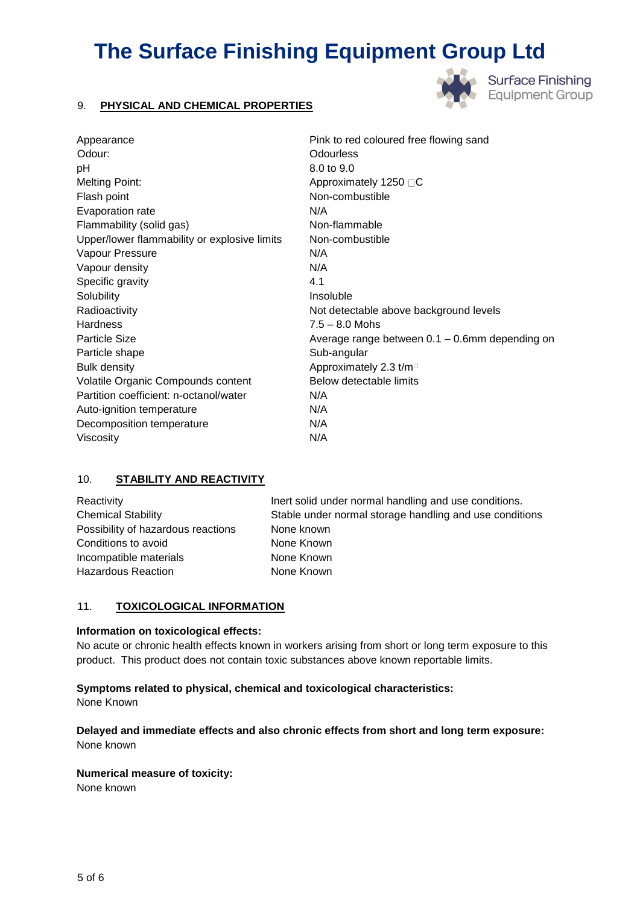#### 9. **PHYSICAL AND CHEMICAL PROPERTIES**



**Surface Finishing Equipment Group** 

| Appearance                                   | Pink to red coloured free flowing sand         |
|----------------------------------------------|------------------------------------------------|
| Odour:                                       | <b>Odourless</b>                               |
| рH                                           | 8.0 to 9.0                                     |
| <b>Melting Point:</b>                        | Approximately 1250 □C                          |
| Flash point                                  | Non-combustible                                |
| Evaporation rate                             | N/A                                            |
| Flammability (solid gas)                     | Non-flammable                                  |
| Upper/lower flammability or explosive limits | Non-combustible                                |
| Vapour Pressure                              | N/A                                            |
| Vapour density                               | N/A                                            |
| Specific gravity                             | 4.1                                            |
| Solubility                                   | Insoluble                                      |
| Radioactivity                                | Not detectable above background levels         |
| <b>Hardness</b>                              | $7.5 - 8.0$ Mohs                               |
| <b>Particle Size</b>                         | Average range between 0.1 - 0.6mm depending on |
| Particle shape                               | Sub-angular                                    |
| <b>Bulk density</b>                          | Approximately 2.3 t/m <sup>D</sup>             |
| Volatile Organic Compounds content           | Below detectable limits                        |
| Partition coefficient: n-octanol/water       | N/A                                            |
| Auto-ignition temperature                    | N/A                                            |
| Decomposition temperature                    | N/A                                            |
| Viscosity                                    | N/A                                            |

#### 10. **STABILITY AND REACTIVITY**

| Reactivity                         | Inert solid under normal handling and use conditions.   |
|------------------------------------|---------------------------------------------------------|
| <b>Chemical Stability</b>          | Stable under normal storage handling and use conditions |
| Possibility of hazardous reactions | None known                                              |
| Conditions to avoid                | None Known                                              |
| Incompatible materials             | None Known                                              |
| Hazardous Reaction                 | None Known                                              |
|                                    |                                                         |

#### 11. **TOXICOLOGICAL INFORMATION**

#### **Information on toxicological effects:**

No acute or chronic health effects known in workers arising from short or long term exposure to this product. This product does not contain toxic substances above known reportable limits.

**Symptoms related to physical, chemical and toxicological characteristics:** 

None Known

**Delayed and immediate effects and also chronic effects from short and long term exposure:**  None known

#### **Numerical measure of toxicity:**

None known